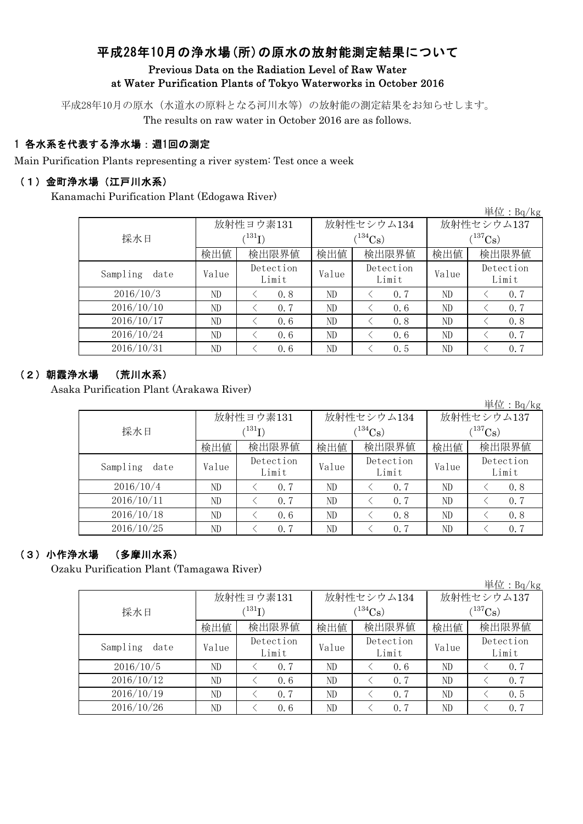# 平成28年10月の浄水場(所)の原水の放射能測定結果について Previous Data on the Radiation Level of Raw Water at Water Purification Plants of Tokyo Waterworks in October 2016

平成28年10月の原水(水道水の原料となる河川水等)の放射能の測定結果をお知らせします。 The results on raw water in October 2016 are as follows.

## 1 各水系を代表する浄水場:週1回の測定

Main Purification Plants representing a river system: Test once a week

#### (1)金町浄水場(江戸川水系)

Kanamachi Purification Plant (Edogawa River)

|                  |                     |                            |       |                    |             | 単位: Bq/kg          |  |
|------------------|---------------------|----------------------------|-------|--------------------|-------------|--------------------|--|
|                  |                     | 放射性ヨウ素131                  |       | 放射性セシウム134         | 放射性セシウム137  |                    |  |
| 採水日              |                     | $^{\prime131} \mathrm{I})$ |       | $(134)$ Cs         | $(137)$ Cs) |                    |  |
|                  | 検出限界値<br>検出値<br>検出値 | 検出限界値                      | 検出値   | 検出限界値              |             |                    |  |
| Sampling<br>date | Value               | Detection<br>Limit         | Value | Detection<br>Limit | Value       | Detection<br>Limit |  |
| 2016/10/3        | ND                  | 0.8                        | ND    | 0.7                | ND          | 0, 7               |  |
| 2016/10/10       | ND                  | 0, 7                       | ND    | 0.6                | ND          | 0.7                |  |
| 2016/10/17       | ND                  | 0.6                        | ND    | 0.8                | ND          | 0.8                |  |
| 2016/10/24       | ND                  | 0.6                        | ND    | 0.6                | ND          | 0.7                |  |
| 2016/10/31       | ND                  | 0.6                        | ND    | 0.5                | ND          | 0.7                |  |

#### (2)朝霞浄水場 (荒川水系)

Asaka Purification Plant (Arakawa River)

|                  |             |                    |       |                       |                       | $+1L$ . DQ/Kg      |  |
|------------------|-------------|--------------------|-------|-----------------------|-----------------------|--------------------|--|
|                  |             | 放射性ヨウ素131          |       | 放射性セシウム134            | 放射性セシウム137            |                    |  |
| 採水日              | $(^{131}I)$ |                    |       | $(^{134}\mathrm{Cs})$ | $(^{137}\mathrm{Cs})$ |                    |  |
|                  | 検出値         | 検出限界値              | 検出値   | 検出限界値                 | 検出値                   | 検出限界値              |  |
| Sampling<br>date | Value       | Detection<br>Limit | Value | Detection<br>Limit    | Value                 | Detection<br>Limit |  |
| 2016/10/4        | ND          | 0.7                | ND    | 0, 7                  | ND                    | 0.8                |  |
| 2016/10/11       | ND          | 0.7                | ND    | 0, 7                  | ND                    | 0, 7               |  |
| 2016/10/18       | ND          | 0.6                | ND    | 0.8                   | ND                    | 0.8                |  |
| 2016/10/25       | ND          | 0, 7               | ND    | 0.7                   | ND                    | 0, 7               |  |

## (3)小作浄水場 (多摩川水系)

Ozaku Purification Plant (Tamagawa River)

|                  |       |                    |       |                    |              | 単位: Bq/kg          |  |
|------------------|-------|--------------------|-------|--------------------|--------------|--------------------|--|
|                  |       | 放射性ヨウ素131          |       | 放射性セシウム134         | 放射性セシウム137   |                    |  |
| 採水日              |       | $(^{131}\text{I})$ |       | $(^{134}Cs)$       | $(^{137}Cs)$ |                    |  |
|                  | 検出値   | 検出限界値              | 検出値   | 検出限界値              | 検出値          | 検出限界値              |  |
| Sampling<br>date | Value | Detection<br>Limit | Value | Detection<br>Limit | Value        | Detection<br>Limit |  |
| 2016/10/5        | ND    | 0.7                | ND    | 0, 6               | ND           | 0, 7               |  |
| 2016/10/12       | ND    | 0.6                | ND    | 0, 7               | ND           | 0.7                |  |
| 2016/10/19       | ND    | 0.7                | ND    | 0.7                | ND           | 0.5                |  |
| 2016/10/26       | ND    | 0.6                | ND    | 0.7                | ND.          | 0.7                |  |

出 $\bigoplus$ : D<sub>q</sub>/kg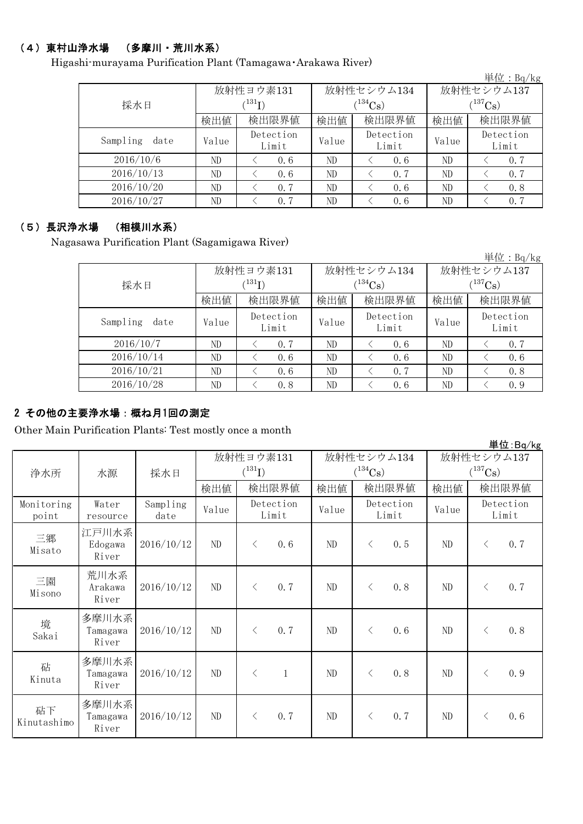## (4)東村山浄水場 (多摩川・荒川水系)

Higashi-murayama Purification Plant (Tamagawa・Arakawa River)

|                  |       |                    |       |                    |              | 単位: Bq/kg          |  |
|------------------|-------|--------------------|-------|--------------------|--------------|--------------------|--|
|                  |       | 放射性ヨウ素131          |       | 放射性セシウム134         | 放射性セシウム137   |                    |  |
| 採水日              |       | (131)              |       | $1^{134}$ Cs)      | $(^{137}Cs)$ |                    |  |
|                  | 検出値   | 検出限界値              | 検出値   | 検出限界値              | 検出値          | 検出限界値              |  |
| Sampling<br>date | Value | Detection<br>Limit | Value | Detection<br>Limit | Value        | Detection<br>Limit |  |
| 2016/10/6        | ND    | 0.6                | ND    | 0.6                | ND           | 0, 7               |  |
| 2016/10/13       | ND    | 0.6                | ND    | 0.7                | ND           | 0.7                |  |
| 2016/10/20       | ND    | 0, 7               | ND    | 0.6                | ND           | 0.8                |  |
| 2016/10/27       | ND    | 0.7                | ND    | 0.6                | ND           | 0, 7               |  |

#### (5)長沢浄水場 (相模川水系)

Nagasawa Purification Plant (Sagamigawa River)

|                  |       |                    |       |                    |              | 単位: $Bq/kg$        |  |
|------------------|-------|--------------------|-------|--------------------|--------------|--------------------|--|
|                  |       | 放射性ヨウ素131          |       | 放射性セシウム134         | 放射性セシウム137   |                    |  |
| 採水日              |       | (131)              |       | $(^{134}Cs)$       | $(^{137}Cs)$ |                    |  |
|                  | 検出値   | 検出限界値              | 検出値   | 検出限界値              | 検出値          | 検出限界値              |  |
| Sampling<br>date | Value | Detection<br>Limit | Value | Detection<br>Limit | Value        | Detection<br>Limit |  |
| 2016/10/7        | ND    | 0.7                | ND    | 0.6                | ND           | 0.7                |  |
| 2016/10/14       | ND    | 0.6                | ND    | 0.6                | ND           | 0.6                |  |
| 2016/10/21       | ND    | 0.6                | ND    | 0.7                | ND           | 0.8                |  |
| 2016/10/28       | ND    | 0.8                | ND    | 0.6                | ND           | 0.9                |  |

## 2 その他の主要浄水場:概ね月1回の測定

Other Main Purification Plants: Test mostly once a month

|                     |                            |                  |       | 放射性ヨウ素131                 |                             | 放射性セシウム134            | 누 고 . ㅁ౺/ Ւg<br>放射性セシウム137 |                    |  |
|---------------------|----------------------------|------------------|-------|---------------------------|-----------------------------|-----------------------|----------------------------|--------------------|--|
| 浄水所                 | 水源                         | 採水日              |       | $(^{131}I)$               |                             | $(^{134}\mathrm{Cs})$ | $(^{137}\mathrm{Cs})$      |                    |  |
|                     |                            |                  | 検出値   | 検出限界値                     | 検出値                         | 検出限界値                 | 検出値                        | 検出限界値              |  |
| Monitoring<br>point | Water<br>resource          | Sampling<br>date | Value | Detection<br>Limit        | Detection<br>Value<br>Limit |                       | Value                      | Detection<br>Limit |  |
| 三郷<br>Misato        | 江戸川水系<br>Edogawa<br>River  | 2016/10/12       | ND    | 0.6<br>$\langle$          | ND                          | 0.5<br>$\langle$      | ND                         | 0.7<br>$\langle$   |  |
| 三園<br>Misono        | 荒川水系<br>Arakawa<br>River   | 2016/10/12       | ND    | 0.7<br>$\langle$          | ND                          | 0.8<br>$\langle$      | ND                         | 0.7<br>$\langle$   |  |
| 境<br>Sakai          | 多摩川水系<br>Tamagawa<br>River | 2016/10/12       | ND    | 0.7<br>$\lt$              | ND                          | 0.6<br>$\langle$      | ND                         | 0.8<br>$\langle$   |  |
| 砧<br>Kinuta         | 多摩川水系<br>Tamagawa<br>River | 2016/10/12       | ND    | $\langle$<br>$\mathbf{1}$ | $\rm ND$                    | 0.8<br>$\langle$      | $\rm ND$                   | 0.9<br>$\langle$   |  |
| 砧下<br>Kinutashimo   | 多摩川水系<br>Tamagawa<br>River | 2016/10/12       | ND    | 0.7<br>$\lt$              | ND                          | 0.7<br>$\lt$          | ND                         | 0.6<br>$\langle$   |  |

単位:Bq/kg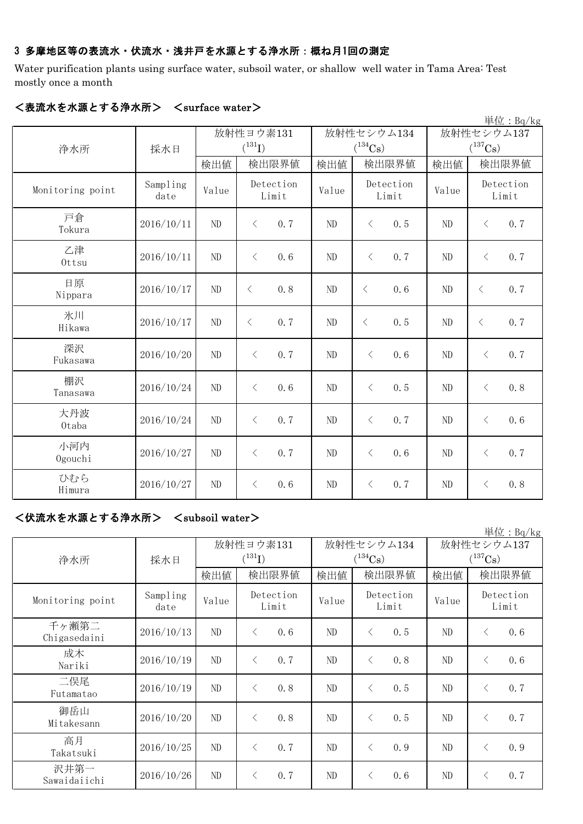### 3 多摩地区等の表流水・伏流水・浅井戸を水源とする浄水所:概ね月1回の測定

Water purification plants using surface water, subsoil water, or shallow well water in Tama Area: Test mostly once a month

|                  |                  |                          |                    |                            |       |           |                                     |       |           | 单位: Bq/kg          |
|------------------|------------------|--------------------------|--------------------|----------------------------|-------|-----------|-------------------------------------|-------|-----------|--------------------|
|                  |                  | 放射性ヨウ素131<br>$(^{131}I)$ |                    | 放射性セシウム134<br>$(^{134}Cs)$ |       |           | 放射性セシウム137<br>$(^{137}\mathrm{Cs})$ |       |           |                    |
| 浄水所              | 採水日              | 検出値                      | 検出限界値              |                            | 検出値   |           | 検出限界値                               | 検出値   |           | 検出限界値              |
| Monitoring point | Sampling<br>date | Value                    | Detection<br>Limit |                            | Value |           | Detection<br>Limit                  | Value |           | Detection<br>Limit |
| 戸倉<br>Tokura     | 2016/10/11       | ND                       | 0.7<br>$\lt$       |                            | ND    | $\lt$     | 0.5                                 | ND    | $\langle$ | 0.7                |
| 乙津<br>Ottsu      | 2016/10/11       | ND                       | $\langle$<br>0.6   |                            | ND    | $\langle$ | 0.7                                 | ND    | $\langle$ | 0.7                |
| 日原<br>Nippara    | 2016/10/17       | ND                       | 0.8<br>$\langle$   |                            | ND    | $\langle$ | 0.6                                 | ND    | $\langle$ | 0.7                |
| 氷川<br>Hikawa     | 2016/10/17       | ND                       | 0, 7<br>$\lt$      |                            | ND    | $\langle$ | 0.5                                 | ND    | $\langle$ | 0.7                |
| 深沢<br>Fukasawa   | 2016/10/20       | ND                       | 0.7<br>$\langle$   |                            | ND    | $\langle$ | 0, 6                                | ND    | $\langle$ | 0.7                |
| 棚沢<br>Tanasawa   | 2016/10/24       | ND                       | 0.6<br>$\lt$       |                            | ND    | $\langle$ | 0.5                                 | ND    | $\langle$ | 0.8                |
| 大丹波<br>0taba     | 2016/10/24       | ND                       | $\langle$<br>0.7   |                            | ND    | $\langle$ | 0.7                                 | ND    | $\langle$ | 0.6                |
| 小河内<br>Ogouchi   | 2016/10/27       | ND                       | 0.7<br>$\langle$   |                            | ND    | $\langle$ | 0.6                                 | ND    | $\lt$     | 0.7                |
| ひむら<br>Himura    | 2016/10/27       | ND                       | 0.6<br>$\lt$       |                            | ND    | $\lt$     | 0.7                                 | ND    | $\langle$ | 0.8                |

#### <表流水を水源とする浄水所> <surface water>

#### <伏流水を水源とする浄水所> <subsoil water>

|                       |                  |           |                    |                |                    |                       | 単位: Bq/kg          |  |
|-----------------------|------------------|-----------|--------------------|----------------|--------------------|-----------------------|--------------------|--|
|                       |                  | 放射性ヨウ素131 |                    |                | 放射性セシウム134         | 放射性セシウム137            |                    |  |
| 浄水所                   | 採水日              |           | $(^{131}I)$        |                | $(^{134}Cs)$       | $(^{137}\mathrm{Cs})$ |                    |  |
|                       |                  | 検出値       | 検出限界値              | 検出値            | 検出限界値              | 検出値                   | 検出限界値              |  |
| Monitoring point      | Sampling<br>date | Value     | Detection<br>Limit | Value          | Detection<br>Limit | Value                 | Detection<br>Limit |  |
| 千ヶ瀬第二<br>Chigasedaini | 2016/10/13       | ND        | $\langle$<br>0.6   | N <sub>D</sub> | $\langle$<br>0.5   | ND                    | 0.6<br>$\langle$   |  |
| 成木<br>Nariki          | 2016/10/19       | ND        | 0.7<br>$\langle$   | N <sub>D</sub> | $\langle$<br>0, 8  | ND                    | 0.6<br>$\langle$   |  |
| 二俣尾<br>Futamatao      | 2016/10/19       | ND        | 0.8<br>$\langle$   | ND             | $\langle$<br>0, 5  | ND                    | 0.7<br>$\langle$   |  |
| 御岳山<br>Mitakesann     | 2016/10/20       | ND        | 0, 8<br>$\langle$  | N <sub>D</sub> | 0.5<br>$\langle$   | ND                    | 0.7<br>$\langle$   |  |
| 高月<br>Takatsuki       | 2016/10/25       | ND        | 0.7<br>$\langle$   | ND             | 0.9<br>$\langle$   | ND                    | 0.9<br>$\langle$   |  |
| 沢井第一<br>Sawaidaiichi  | 2016/10/26       | ND        | 0.7<br>$\langle$   | N <sub>D</sub> | 0.6<br>$\langle$   | ND                    | 0.7<br>$\langle$   |  |